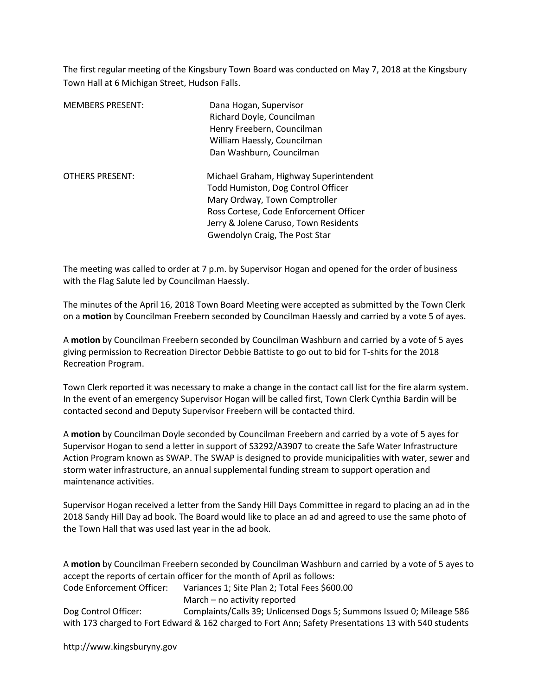The first regular meeting of the Kingsbury Town Board was conducted on May 7, 2018 at the Kingsbury Town Hall at 6 Michigan Street, Hudson Falls.

| <b>MEMBERS PRESENT:</b> | Dana Hogan, Supervisor<br>Richard Doyle, Councilman<br>Henry Freebern, Councilman<br>William Haessly, Councilman<br>Dan Washburn, Councilman                                                                                       |
|-------------------------|------------------------------------------------------------------------------------------------------------------------------------------------------------------------------------------------------------------------------------|
| <b>OTHERS PRESENT:</b>  | Michael Graham, Highway Superintendent<br>Todd Humiston, Dog Control Officer<br>Mary Ordway, Town Comptroller<br>Ross Cortese, Code Enforcement Officer<br>Jerry & Jolene Caruso, Town Residents<br>Gwendolyn Craig, The Post Star |

The meeting was called to order at 7 p.m. by Supervisor Hogan and opened for the order of business with the Flag Salute led by Councilman Haessly.

The minutes of the April 16, 2018 Town Board Meeting were accepted as submitted by the Town Clerk on a motion by Councilman Freebern seconded by Councilman Haessly and carried by a vote 5 of ayes.

A motion by Councilman Freebern seconded by Councilman Washburn and carried by a vote of 5 ayes giving permission to Recreation Director Debbie Battiste to go out to bid for T-shits for the 2018 Recreation Program.

Town Clerk reported it was necessary to make a change in the contact call list for the fire alarm system. In the event of an emergency Supervisor Hogan will be called first, Town Clerk Cynthia Bardin will be contacted second and Deputy Supervisor Freebern will be contacted third.

A motion by Councilman Doyle seconded by Councilman Freebern and carried by a vote of 5 ayes for Supervisor Hogan to send a letter in support of S3292/A3907 to create the Safe Water Infrastructure Action Program known as SWAP. The SWAP is designed to provide municipalities with water, sewer and storm water infrastructure, an annual supplemental funding stream to support operation and maintenance activities.

Supervisor Hogan received a letter from the Sandy Hill Days Committee in regard to placing an ad in the 2018 Sandy Hill Day ad book. The Board would like to place an ad and agreed to use the same photo of the Town Hall that was used last year in the ad book.

A motion by Councilman Freebern seconded by Councilman Washburn and carried by a vote of 5 ayes to accept the reports of certain officer for the month of April as follows:

Code Enforcement Officer: Variances 1; Site Plan 2; Total Fees \$600.00

March – no activity reported

Dog Control Officer: Complaints/Calls 39; Unlicensed Dogs 5; Summons Issued 0; Mileage 586 with 173 charged to Fort Edward & 162 charged to Fort Ann; Safety Presentations 13 with 540 students

http://www.kingsburyny.gov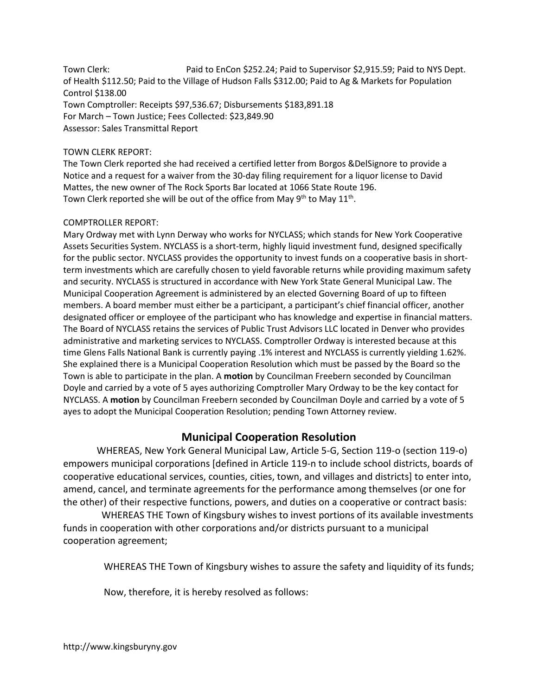Town Clerk: Paid to EnCon \$252.24; Paid to Supervisor \$2,915.59; Paid to NYS Dept. of Health \$112.50; Paid to the Village of Hudson Falls \$312.00; Paid to Ag & Markets for Population Control \$138.00 Town Comptroller: Receipts \$97,536.67; Disbursements \$183,891.18 For March – Town Justice; Fees Collected: \$23,849.90 Assessor: Sales Transmittal Report

#### TOWN CLERK REPORT:

The Town Clerk reported she had received a certified letter from Borgos &DelSignore to provide a Notice and a request for a waiver from the 30-day filing requirement for a liquor license to David Mattes, the new owner of The Rock Sports Bar located at 1066 State Route 196. Town Clerk reported she will be out of the office from May  $9<sup>th</sup>$  to May  $11<sup>th</sup>$ .

#### COMPTROLLER REPORT:

Mary Ordway met with Lynn Derway who works for NYCLASS; which stands for New York Cooperative Assets Securities System. NYCLASS is a short-term, highly liquid investment fund, designed specifically for the public sector. NYCLASS provides the opportunity to invest funds on a cooperative basis in shortterm investments which are carefully chosen to yield favorable returns while providing maximum safety and security. NYCLASS is structured in accordance with New York State General Municipal Law. The Municipal Cooperation Agreement is administered by an elected Governing Board of up to fifteen members. A board member must either be a participant, a participant's chief financial officer, another designated officer or employee of the participant who has knowledge and expertise in financial matters. The Board of NYCLASS retains the services of Public Trust Advisors LLC located in Denver who provides administrative and marketing services to NYCLASS. Comptroller Ordway is interested because at this time Glens Falls National Bank is currently paying .1% interest and NYCLASS is currently yielding 1.62%. She explained there is a Municipal Cooperation Resolution which must be passed by the Board so the Town is able to participate in the plan. A motion by Councilman Freebern seconded by Councilman Doyle and carried by a vote of 5 ayes authorizing Comptroller Mary Ordway to be the key contact for NYCLASS. A motion by Councilman Freebern seconded by Councilman Doyle and carried by a vote of 5 ayes to adopt the Municipal Cooperation Resolution; pending Town Attorney review.

# Municipal Cooperation Resolution

 WHEREAS, New York General Municipal Law, Article 5-G, Section 119-o (section 119-o) empowers municipal corporations [defined in Article 119-n to include school districts, boards of cooperative educational services, counties, cities, town, and villages and districts] to enter into, amend, cancel, and terminate agreements for the performance among themselves (or one for the other) of their respective functions, powers, and duties on a cooperative or contract basis:

 WHEREAS THE Town of Kingsbury wishes to invest portions of its available investments funds in cooperation with other corporations and/or districts pursuant to a municipal cooperation agreement;

WHEREAS THE Town of Kingsbury wishes to assure the safety and liquidity of its funds;

Now, therefore, it is hereby resolved as follows: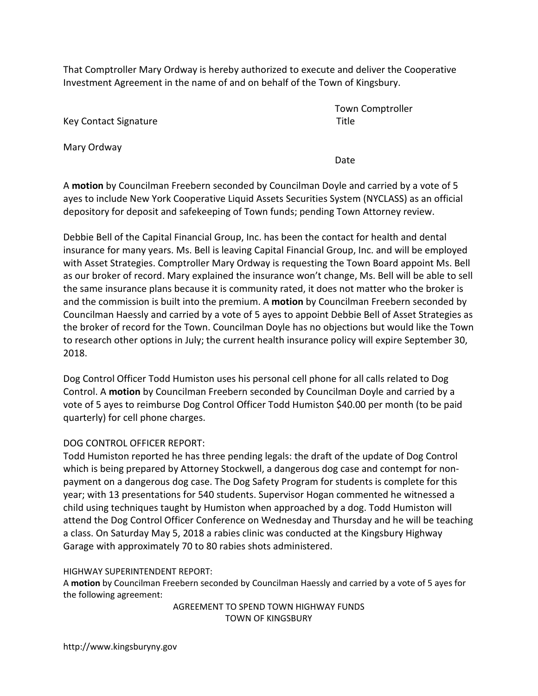That Comptroller Mary Ordway is hereby authorized to execute and deliver the Cooperative Investment Agreement in the name of and on behalf of the Town of Kingsbury.

Key Contact Signature Title

Mary Ordway

Town Comptroller

**Date** and the contract of the contract of the contract of the contract of the contract of the contract of the contract of the contract of the contract of the contract of the contract of the contract of the contract of the

A motion by Councilman Freebern seconded by Councilman Doyle and carried by a vote of 5 ayes to include New York Cooperative Liquid Assets Securities System (NYCLASS) as an official depository for deposit and safekeeping of Town funds; pending Town Attorney review.

Debbie Bell of the Capital Financial Group, Inc. has been the contact for health and dental insurance for many years. Ms. Bell is leaving Capital Financial Group, Inc. and will be employed with Asset Strategies. Comptroller Mary Ordway is requesting the Town Board appoint Ms. Bell as our broker of record. Mary explained the insurance won't change, Ms. Bell will be able to sell the same insurance plans because it is community rated, it does not matter who the broker is and the commission is built into the premium. A **motion** by Councilman Freebern seconded by Councilman Haessly and carried by a vote of 5 ayes to appoint Debbie Bell of Asset Strategies as the broker of record for the Town. Councilman Doyle has no objections but would like the Town to research other options in July; the current health insurance policy will expire September 30, 2018.

Dog Control Officer Todd Humiston uses his personal cell phone for all calls related to Dog Control. A motion by Councilman Freebern seconded by Councilman Doyle and carried by a vote of 5 ayes to reimburse Dog Control Officer Todd Humiston \$40.00 per month (to be paid quarterly) for cell phone charges.

# DOG CONTROL OFFICER REPORT:

Todd Humiston reported he has three pending legals: the draft of the update of Dog Control which is being prepared by Attorney Stockwell, a dangerous dog case and contempt for nonpayment on a dangerous dog case. The Dog Safety Program for students is complete for this year; with 13 presentations for 540 students. Supervisor Hogan commented he witnessed a child using techniques taught by Humiston when approached by a dog. Todd Humiston will attend the Dog Control Officer Conference on Wednesday and Thursday and he will be teaching a class. On Saturday May 5, 2018 a rabies clinic was conducted at the Kingsbury Highway Garage with approximately 70 to 80 rabies shots administered.

## HIGHWAY SUPERINTENDENT REPORT:

A motion by Councilman Freebern seconded by Councilman Haessly and carried by a vote of 5 ayes for the following agreement:

AGREEMENT TO SPEND TOWN HIGHWAY FUNDS TOWN OF KINGSBURY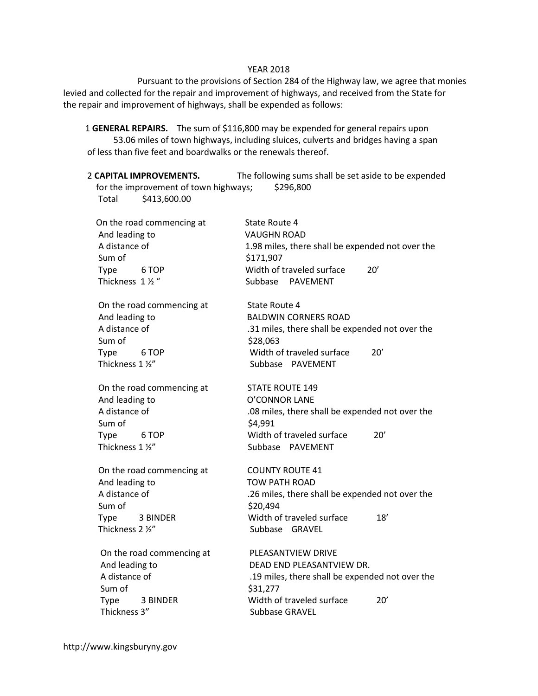#### YEAR 2018

 Pursuant to the provisions of Section 284 of the Highway law, we agree that monies levied and collected for the repair and improvement of highways, and received from the State for the repair and improvement of highways, shall be expended as follows:

 1 GENERAL REPAIRS. The sum of \$116,800 may be expended for general repairs upon 53.06 miles of town highways, including sluices, culverts and bridges having a span of less than five feet and boardwalks or the renewals thereof.

2 CAPITAL IMPROVEMENTS. The following sums shall be set aside to be expended for the improvement of town highways; \$296,800 Total \$413,600.00

| On the road commencing at<br>And leading to<br>A distance of<br>Sum of<br>Type<br>6 TOP<br>Thickness 1 1/2 "   | State Route 4<br><b>VAUGHN ROAD</b><br>1.98 miles, there shall be expended not over the<br>\$171,907<br>Width of traveled surface<br>20'<br>Subbase PAVEMENT                |
|----------------------------------------------------------------------------------------------------------------|-----------------------------------------------------------------------------------------------------------------------------------------------------------------------------|
| On the road commencing at<br>And leading to<br>A distance of<br>Sum of<br>Type<br>6 TOP<br>Thickness 1 1/2"    | State Route 4<br><b>BALDWIN CORNERS ROAD</b><br>.31 miles, there shall be expended not over the<br>\$28,063<br>Width of traveled surface<br>20'<br>Subbase PAVEMENT         |
| On the road commencing at<br>And leading to<br>A distance of<br>Sum of<br>Type<br>6 TOP<br>Thickness 1 1/2"    | <b>STATE ROUTE 149</b><br><b>O'CONNOR LANE</b><br>.08 miles, there shall be expended not over the<br>\$4,991<br>Width of traveled surface<br>20'<br>Subbase PAVEMENT        |
| On the road commencing at<br>And leading to<br>A distance of<br>Sum of<br>Type<br>3 BINDER<br>Thickness 2 1/2" | <b>COUNTY ROUTE 41</b><br><b>TOW PATH ROAD</b><br>.26 miles, there shall be expended not over the<br>\$20,494<br>Width of traveled surface<br>18'<br>Subbase GRAVEL         |
| On the road commencing at<br>And leading to<br>A distance of<br>Sum of<br>Type<br>3 BINDER<br>Thickness 3"     | PLEASANTVIEW DRIVE<br>DEAD END PLEASANTVIEW DR.<br>.19 miles, there shall be expended not over the<br>\$31,277<br>Width of traveled surface<br>20'<br><b>Subbase GRAVEL</b> |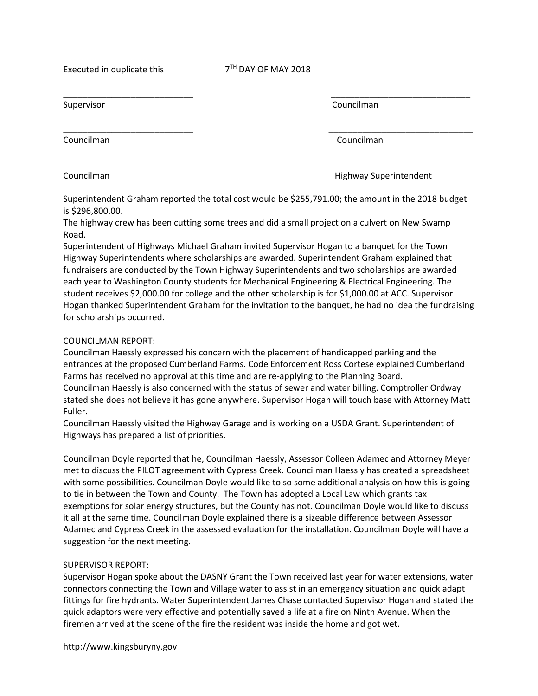Executed in duplicate this  $7<sup>TH</sup>$  DAY OF MAY 2018

 $\overline{\phantom{a}}$  , and the contract of the contract of the contract of the contract of the contract of the contract of the contract of the contract of the contract of the contract of the contract of the contract of the contrac

 $\overline{\phantom{a}}$  , and the contract of the contract of the contract of the contract of the contract of the contract of the contract of the contract of the contract of the contract of the contract of the contract of the contrac

\_\_\_\_\_\_\_\_\_\_\_\_\_\_\_\_\_\_\_\_\_\_\_\_\_\_\_ \_\_\_\_\_\_\_\_\_\_\_\_\_\_\_\_\_\_\_\_\_\_\_\_\_\_\_\_\_

Councilman Councilman

Supervisor **Councilman** 

Councilman **Councilman Highway Superintendent** 

Superintendent Graham reported the total cost would be \$255,791.00; the amount in the 2018 budget is \$296,800.00.

The highway crew has been cutting some trees and did a small project on a culvert on New Swamp Road.

Superintendent of Highways Michael Graham invited Supervisor Hogan to a banquet for the Town Highway Superintendents where scholarships are awarded. Superintendent Graham explained that fundraisers are conducted by the Town Highway Superintendents and two scholarships are awarded each year to Washington County students for Mechanical Engineering & Electrical Engineering. The student receives \$2,000.00 for college and the other scholarship is for \$1,000.00 at ACC. Supervisor Hogan thanked Superintendent Graham for the invitation to the banquet, he had no idea the fundraising for scholarships occurred.

## COUNCILMAN REPORT:

Councilman Haessly expressed his concern with the placement of handicapped parking and the entrances at the proposed Cumberland Farms. Code Enforcement Ross Cortese explained Cumberland Farms has received no approval at this time and are re-applying to the Planning Board. Councilman Haessly is also concerned with the status of sewer and water billing. Comptroller Ordway stated she does not believe it has gone anywhere. Supervisor Hogan will touch base with Attorney Matt Fuller.

Councilman Haessly visited the Highway Garage and is working on a USDA Grant. Superintendent of Highways has prepared a list of priorities.

Councilman Doyle reported that he, Councilman Haessly, Assessor Colleen Adamec and Attorney Meyer met to discuss the PILOT agreement with Cypress Creek. Councilman Haessly has created a spreadsheet with some possibilities. Councilman Doyle would like to so some additional analysis on how this is going to tie in between the Town and County. The Town has adopted a Local Law which grants tax exemptions for solar energy structures, but the County has not. Councilman Doyle would like to discuss it all at the same time. Councilman Doyle explained there is a sizeable difference between Assessor Adamec and Cypress Creek in the assessed evaluation for the installation. Councilman Doyle will have a suggestion for the next meeting.

# SUPERVISOR REPORT:

Supervisor Hogan spoke about the DASNY Grant the Town received last year for water extensions, water connectors connecting the Town and Village water to assist in an emergency situation and quick adapt fittings for fire hydrants. Water Superintendent James Chase contacted Supervisor Hogan and stated the quick adaptors were very effective and potentially saved a life at a fire on Ninth Avenue. When the firemen arrived at the scene of the fire the resident was inside the home and got wet.

http://www.kingsburyny.gov